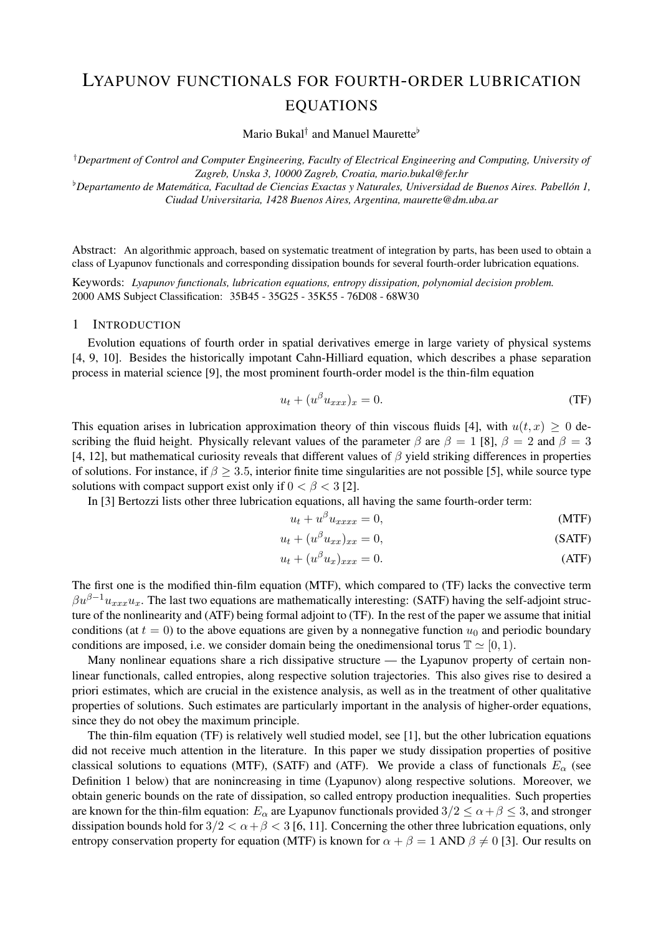# LYAPUNOV FUNCTIONALS FOR FOURTH-ORDER LUBRICATION EQUATIONS

Mario Bukal<sup>†</sup> and Manuel Maurette<sup>b</sup>

†*Department of Control and Computer Engineering, Faculty of Electrical Engineering and Computing, University of Zagreb, Unska 3, 10000 Zagreb, Croatia, mario.bukal@fer.hr*

<sup> $b$ </sup>Departamento de Matemática, Facultad de Ciencias Exactas y Naturales, Universidad de Buenos Aires. Pabellón 1, *Ciudad Universitaria, 1428 Buenos Aires, Argentina, maurette@dm.uba.ar*

Abstract: An algorithmic approach, based on systematic treatment of integration by parts, has been used to obtain a class of Lyapunov functionals and corresponding dissipation bounds for several fourth-order lubrication equations.

Keywords: *Lyapunov functionals, lubrication equations, entropy dissipation, polynomial decision problem.* 2000 AMS Subject Classification: 35B45 - 35G25 - 35K55 - 76D08 - 68W30

## 1 INTRODUCTION

Evolution equations of fourth order in spatial derivatives emerge in large variety of physical systems [4, 9, 10]. Besides the historically impotant Cahn-Hilliard equation, which describes a phase separation process in material science [9], the most prominent fourth-order model is the thin-film equation

$$
u_t + (u^{\beta} u_{xxx})_x = 0.
$$
 (TF)

This equation arises in lubrication approximation theory of thin viscous fluids [4], with  $u(t, x) \geq 0$  describing the fluid height. Physically relevant values of the parameter  $\beta$  are  $\beta = 1$  [8],  $\beta = 2$  and  $\beta = 3$ [4, 12], but mathematical curiosity reveals that different values of  $\beta$  yield striking differences in properties of solutions. For instance, if  $\beta \geq 3.5$ , interior finite time singularities are not possible [5], while source type solutions with compact support exist only if  $0 < \beta < 3$  [2].

In [3] Bertozzi lists other three lubrication equations, all having the same fourth-order term:

$$
u_t + u^\beta u_{xxxx} = 0,\t\t(MTF)
$$

$$
u_t + (u^{\beta} u_{xx})_{xx} = 0,
$$
 (SATF)

$$
u_t + (u^{\beta} u_x)_{xxx} = 0.
$$
 (ATF)

The first one is the modified thin-film equation (MTF), which compared to (TF) lacks the convective term  $\beta u^{\beta-1}u_{xxx}u_x$ . The last two equations are mathematically interesting: (SATF) having the self-adjoint structure of the nonlinearity and (ATF) being formal adjoint to (TF). In the rest of the paper we assume that initial conditions (at  $t = 0$ ) to the above equations are given by a nonnegative function  $u_0$  and periodic boundary conditions are imposed, i.e. we consider domain being the onedimensional torus  $\mathbb{T} \simeq [0, 1)$ .

Many nonlinear equations share a rich dissipative structure — the Lyapunov property of certain nonlinear functionals, called entropies, along respective solution trajectories. This also gives rise to desired a priori estimates, which are crucial in the existence analysis, as well as in the treatment of other qualitative properties of solutions. Such estimates are particularly important in the analysis of higher-order equations, since they do not obey the maximum principle.

The thin-film equation (TF) is relatively well studied model, see [1], but the other lubrication equations did not receive much attention in the literature. In this paper we study dissipation properties of positive classical solutions to equations (MTF), (SATF) and (ATF). We provide a class of functionals  $E_\alpha$  (see Definition 1 below) that are nonincreasing in time (Lyapunov) along respective solutions. Moreover, we obtain generic bounds on the rate of dissipation, so called entropy production inequalities. Such properties are known for the thin-film equation:  $E_{\alpha}$  are Lyapunov functionals provided  $3/2 \le \alpha + \beta \le 3$ , and stronger dissipation bounds hold for  $3/2 < \alpha + \beta < 3$  [6, 11]. Concerning the other three lubrication equations, only entropy conservation property for equation (MTF) is known for  $\alpha + \beta = 1$  AND  $\beta \neq 0$  [3]. Our results on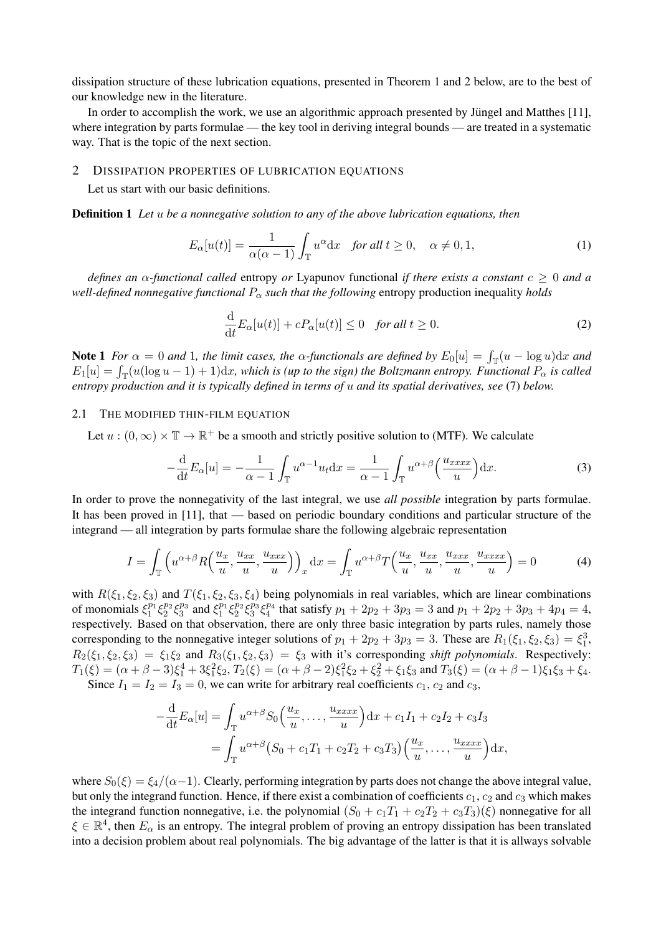dissipation structure of these lubrication equations, presented in Theorem 1 and 2 below, are to the best of our knowledge new in the literature.

In order to accomplish the work, we use an algorithmic approach presented by Jüngel and Matthes [11], where integration by parts formulae — the key tool in deriving integral bounds — are treated in a systematic way. That is the topic of the next section.

### 2 DISSIPATION PROPERTIES OF LUBRICATION EQUATIONS

Let us start with our basic definitions.

Definition 1 *Let* u *be a nonnegative solution to any of the above lubrication equations, then*

$$
E_{\alpha}[u(t)] = \frac{1}{\alpha(\alpha - 1)} \int_{\mathbb{T}} u^{\alpha} dx \quad \text{for all } t \ge 0, \quad \alpha \ne 0, 1,
$$
 (1)

*defines an* α*-functional called* entropy *or* Lyapunov functional *if there exists a constant* c ≥ 0 *and a well-defined nonnegative functional*  $P_{\alpha}$  *such that the following* entropy production inequality *holds* 

$$
\frac{\mathrm{d}}{\mathrm{d}t}E_{\alpha}[u(t)] + cP_{\alpha}[u(t)] \le 0 \quad \text{for all } t \ge 0.
$$
 (2)

**Note 1** For  $\alpha = 0$  and 1, the limit cases, the  $\alpha$ -functionals are defined by  $E_0[u] = \int_{\mathbb{T}} (u - \log u) dx$  and  $E_1[u] = \int_{\mathbb{T}} (u(\log u - 1) + 1) dx$ , which is (up to the sign) the Boltzmann entropy. Functional  $P_\alpha$  is called *entropy production and it is typically defined in terms of* u *and its spatial derivatives, see* (7) *below.*

#### 2.1 THE MODIFIED THIN-FILM EQUATION

Let  $u:(0,\infty)\times \mathbb{T} \to \mathbb{R}^+$  be a smooth and strictly positive solution to (MTF). We calculate

$$
-\frac{\mathrm{d}}{\mathrm{d}t}E_{\alpha}[u] = -\frac{1}{\alpha - 1} \int_{\mathbb{T}} u^{\alpha - 1} u_t \mathrm{d}x = \frac{1}{\alpha - 1} \int_{\mathbb{T}} u^{\alpha + \beta} \left(\frac{u_{xxxx}}{u}\right) \mathrm{d}x. \tag{3}
$$

In order to prove the nonnegativity of the last integral, we use *all possible* integration by parts formulae. It has been proved in [11], that — based on periodic boundary conditions and particular structure of the integrand — all integration by parts formulae share the following algebraic representation

$$
I = \int_{\mathbb{T}} \left( u^{\alpha+\beta} R\left(\frac{u_x}{u}, \frac{u_{xx}}{u}, \frac{u_{xxx}}{u}\right) \right)_x dx = \int_{\mathbb{T}} u^{\alpha+\beta} T\left(\frac{u_x}{u}, \frac{u_{xx}}{u}, \frac{u_{xxx}}{u}, \frac{u_{xxx}}{u}\right) = 0 \tag{4}
$$

with  $R(\xi_1, \xi_2, \xi_3)$  and  $T(\xi_1, \xi_2, \xi_3, \xi_4)$  being polynomials in real variables, which are linear combinations of monomials  $\xi_1^{p_1}\xi_2^{p_2}\xi_3^{p_3}$  and  $\xi_1^{p_1}\xi_2^{p_2}\xi_3^{p_3}\xi_4^{p_4}$  that satisfy  $p_1 + 2p_2 + 3p_3 = 3$  and  $p_1 + 2p_2 + 3p_3 + 4p_4 = 4$ , respectively. Based on that observation, there are only three basic integration by parts rules, namely those corresponding to the nonnegative integer solutions of  $p_1 + 2p_2 + 3p_3 = 3$ . These are  $R_1(\xi_1, \xi_2, \xi_3) = \xi_1^3$ ,  $R_2(\xi_1, \xi_2, \xi_3) = \xi_1 \xi_2$  and  $R_3(\xi_1, \xi_2, \xi_3) = \xi_3$  with it's corresponding *shift polynomials*. Respectively:  $T_1(\xi) = (\alpha + \beta - 3)\xi_1^4 + 3\xi_1^2\xi_2, T_2(\xi) = (\alpha + \beta - 2)\xi_1^2\xi_2 + \xi_2^2 + \xi_1\xi_3$  and  $T_3(\xi) = (\alpha + \beta - 1)\xi_1\xi_3 + \xi_4$ . Since  $I_1 = I_2 = I_3 = 0$ , we can write for arbitrary real coefficients  $c_1$ ,  $c_2$  and  $c_3$ ,

$$
-\frac{d}{dt}E_{\alpha}[u] = \int_{\mathbb{T}} u^{\alpha+\beta} S_0\left(\frac{u_x}{u}, \dots, \frac{u_{xxxx}}{u}\right) dx + c_1 I_1 + c_2 I_2 + c_3 I_3
$$
  
= 
$$
\int_{\mathbb{T}} u^{\alpha+\beta} (S_0 + c_1 T_1 + c_2 T_2 + c_3 T_3) \left(\frac{u_x}{u}, \dots, \frac{u_{xxxx}}{u}\right) dx,
$$

where  $S_0(\xi) = \xi_4/(\alpha-1)$ . Clearly, performing integration by parts does not change the above integral value, but only the integrand function. Hence, if there exist a combination of coefficients  $c_1$ ,  $c_2$  and  $c_3$  which makes the integrand function nonnegative, i.e. the polynomial  $(S_0 + c_1T_1 + c_2T_2 + c_3T_3)(\xi)$  nonnegative for all  $\xi \in \mathbb{R}^4$ , then  $E_\alpha$  is an entropy. The integral problem of proving an entropy dissipation has been translated into a decision problem about real polynomials. The big advantage of the latter is that it is allways solvable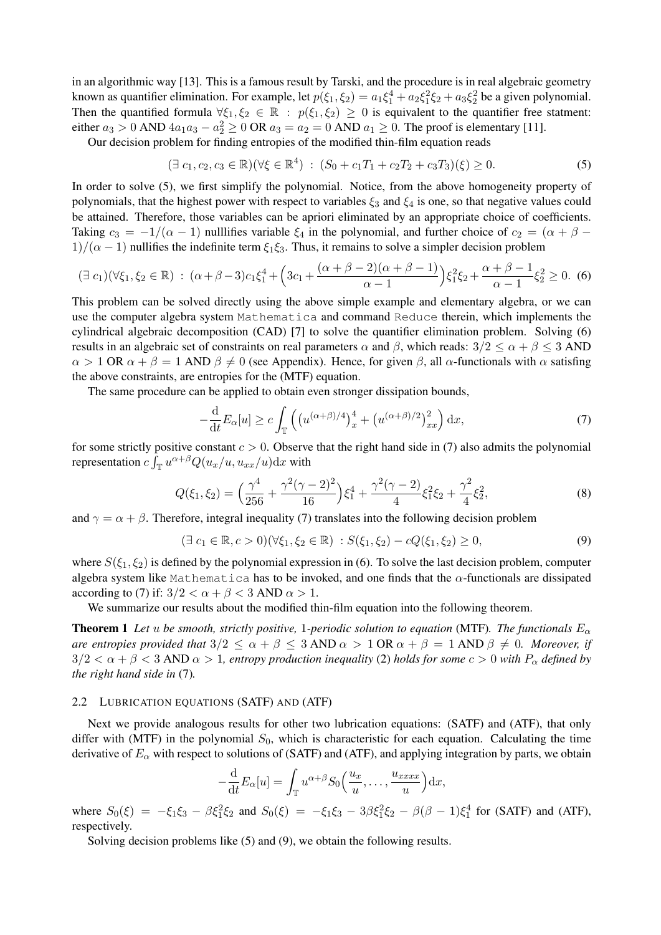in an algorithmic way [13]. This is a famous result by Tarski, and the procedure is in real algebraic geometry known as quantifier elimination. For example, let  $p(\xi_1, \xi_2) = a_1 \xi_1^4 + a_2 \xi_1^2 \xi_2 + a_3 \xi_2^2$  be a given polynomial. Then the quantified formula  $\forall \xi_1, \xi_2 \in \mathbb{R} : p(\xi_1, \xi_2) \geq 0$  is equivalent to the quantifier free statment: either  $a_3 > 0$  AND  $4a_1a_3 - a_2^2 \ge 0$  OR  $a_3 = a_2 = 0$  AND  $a_1 \ge 0$ . The proof is elementary [11].

Our decision problem for finding entropies of the modified thin-film equation reads

$$
(\exists c_1, c_2, c_3 \in \mathbb{R})(\forall \xi \in \mathbb{R}^4) : (S_0 + c_1 T_1 + c_2 T_2 + c_3 T_3)(\xi) \ge 0.
$$
\n
$$
(5)
$$

In order to solve (5), we first simplify the polynomial. Notice, from the above homogeneity property of polynomials, that the highest power with respect to variables  $\xi_3$  and  $\xi_4$  is one, so that negative values could be attained. Therefore, those variables can be apriori eliminated by an appropriate choice of coefficients. Taking  $c_3 = -1/(\alpha - 1)$  nulllifies variable  $\xi_4$  in the polynomial, and further choice of  $c_2 = (\alpha + \beta - \alpha)$  $1/(\alpha - 1)$  nullifies the indefinite term  $\xi_1 \xi_3$ . Thus, it remains to solve a simpler decision problem

$$
(\exists c_1)(\forall \xi_1, \xi_2 \in \mathbb{R}) : (\alpha + \beta - 3)c_1\xi_1^4 + \left(3c_1 + \frac{(\alpha + \beta - 2)(\alpha + \beta - 1)}{\alpha - 1}\right)\xi_1^2\xi_2 + \frac{\alpha + \beta - 1}{\alpha - 1}\xi_2^2 \ge 0. \tag{6}
$$

This problem can be solved directly using the above simple example and elementary algebra, or we can use the computer algebra system Mathematica and command Reduce therein, which implements the cylindrical algebraic decomposition (CAD) [7] to solve the quantifier elimination problem. Solving (6) results in an algebraic set of constraints on real parameters  $\alpha$  and  $\beta$ , which reads:  $3/2 \leq \alpha + \beta \leq 3$  AND  $\alpha > 1$  OR  $\alpha + \beta = 1$  AND  $\beta \neq 0$  (see Appendix). Hence, for given  $\beta$ , all  $\alpha$ -functionals with  $\alpha$  satisfing the above constraints, are entropies for the (MTF) equation.

The same procedure can be applied to obtain even stronger dissipation bounds,

$$
-\frac{\mathrm{d}}{\mathrm{d}t}E_{\alpha}[u] \ge c \int_{\mathbb{T}} \left( \left( u^{(\alpha+\beta)/4} \right)_x^4 + \left( u^{(\alpha+\beta)/2} \right)_x^2 \right) \mathrm{d}x, \tag{7}
$$

for some strictly positive constant  $c > 0$ . Observe that the right hand side in (7) also admits the polynomial representation  $c \int_{\mathbb{T}} u^{\alpha+\beta} Q(u_x/u, u_{xx}/u) dx$  with

$$
Q(\xi_1, \xi_2) = \left(\frac{\gamma^4}{256} + \frac{\gamma^2(\gamma - 2)^2}{16}\right)\xi_1^4 + \frac{\gamma^2(\gamma - 2)}{4}\xi_1^2\xi_2 + \frac{\gamma^2}{4}\xi_2^2,\tag{8}
$$

and  $\gamma = \alpha + \beta$ . Therefore, integral inequality (7) translates into the following decision problem

$$
(\exists c_1 \in \mathbb{R}, c > 0)(\forall \xi_1, \xi_2 \in \mathbb{R}) : S(\xi_1, \xi_2) - cQ(\xi_1, \xi_2) \ge 0,
$$
\n(9)

where  $S(\xi_1, \xi_2)$  is defined by the polynomial expression in (6). To solve the last decision problem, computer algebra system like Mathematica has to be invoked, and one finds that the  $\alpha$ -functionals are dissipated according to (7) if:  $3/2 < \alpha + \beta < 3$  AND  $\alpha > 1$ .

We summarize our results about the modified thin-film equation into the following theorem.

**Theorem 1** Let u be smooth, strictly positive, 1-periodic solution to equation (MTF). The functionals  $E_{\alpha}$ *are entropies provided that*  $3/2 \le \alpha + \beta \le 3$  AND  $\alpha > 1$  OR  $\alpha + \beta = 1$  AND  $\beta \ne 0$ *. Moreover, if*  $3/2 < \alpha + \beta < 3$  AND  $\alpha > 1$ , entropy production inequality (2) holds for some  $c > 0$  with  $P_\alpha$  defined by *the right hand side in* (7)*.*

#### 2.2 LUBRICATION EQUATIONS (SATF) AND (ATF)

Next we provide analogous results for other two lubrication equations: (SATF) and (ATF), that only differ with (MTF) in the polynomial  $S_0$ , which is characteristic for each equation. Calculating the time derivative of  $E_\alpha$  with respect to solutions of (SATF) and (ATF), and applying integration by parts, we obtain

$$
-\frac{\mathrm{d}}{\mathrm{d}t}E_{\alpha}[u] = \int_{\mathbb{T}} u^{\alpha+\beta} S_0\Big(\frac{u_x}{u}, \dots, \frac{u_{xxxx}}{u}\Big) \mathrm{d}x,
$$

where  $S_0(\xi) = -\xi_1 \xi_3 - \beta \xi_1^2 \xi_2$  and  $S_0(\xi) = -\xi_1 \xi_3 - 3\beta \xi_1^2 \xi_2 - \beta(\beta - 1)\xi_1^4$  for (SATF) and (ATF), respectively.

Solving decision problems like (5) and (9), we obtain the following results.